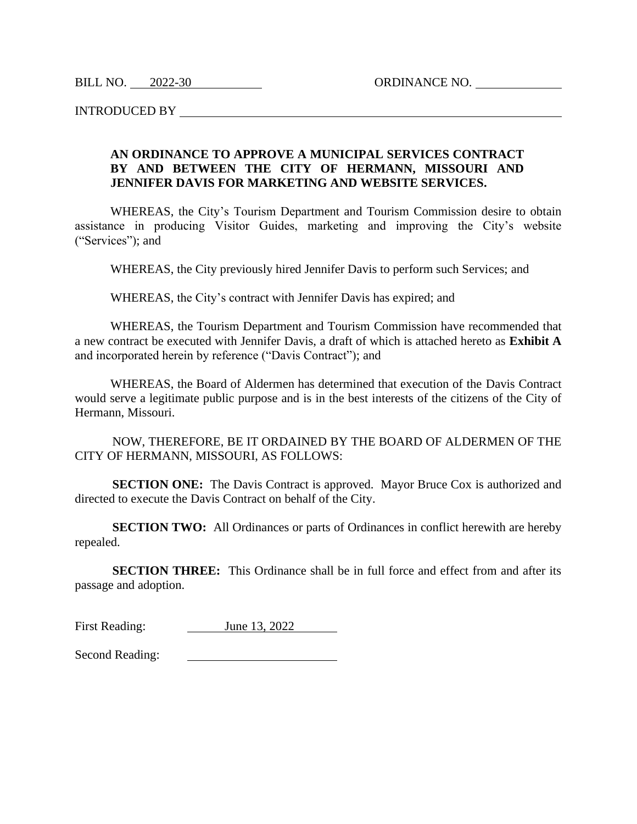BILL NO. 2022-30 ORDINANCE NO.

INTRODUCED BY

## **AN ORDINANCE TO APPROVE A MUNICIPAL SERVICES CONTRACT BY AND BETWEEN THE CITY OF HERMANN, MISSOURI AND JENNIFER DAVIS FOR MARKETING AND WEBSITE SERVICES.**

WHEREAS, the City's Tourism Department and Tourism Commission desire to obtain assistance in producing Visitor Guides, marketing and improving the City's website ("Services"); and

WHEREAS, the City previously hired Jennifer Davis to perform such Services; and

WHEREAS, the City's contract with Jennifer Davis has expired; and

WHEREAS, the Tourism Department and Tourism Commission have recommended that a new contract be executed with Jennifer Davis, a draft of which is attached hereto as **Exhibit A** and incorporated herein by reference ("Davis Contract"); and

WHEREAS, the Board of Aldermen has determined that execution of the Davis Contract would serve a legitimate public purpose and is in the best interests of the citizens of the City of Hermann, Missouri.

NOW, THEREFORE, BE IT ORDAINED BY THE BOARD OF ALDERMEN OF THE CITY OF HERMANN, MISSOURI, AS FOLLOWS:

**SECTION ONE:** The Davis Contract is approved. Mayor Bruce Cox is authorized and directed to execute the Davis Contract on behalf of the City.

**SECTION TWO:** All Ordinances or parts of Ordinances in conflict herewith are hereby repealed.

**SECTION THREE:** This Ordinance shall be in full force and effect from and after its passage and adoption.

First Reading: June 13, 2022

Second Reading: